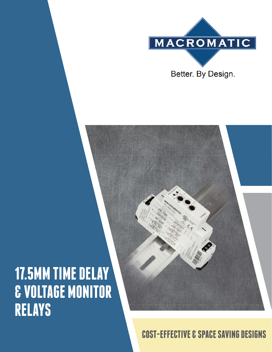

# **17.5MM TIME DELAY & VOLTAGE MONITOR RELAYS**



**COST-EFFECTIVE & SPACE SAVING DESIGNS**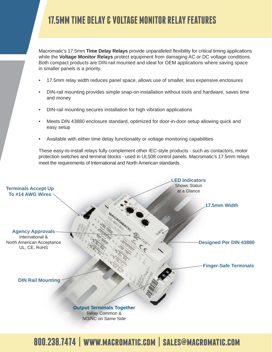# **17.5MM TIME DELAY & VOLTAGE MONITOR RELAY FEATURES**

Macromatic's 17.5mm **Time Delay Relays** provide unparalleled flexibility for critical timing applications while the **Voltage Monitor Relays** protect equipment from damaging AC or DC voltage conditions. Both compact products are DIN-rail mounted and ideal for OEM applications where saving space in smaller panels is a priority.

- 17.5mm relay width reduces panel space, allows use of smaller, less expensive enclosures
- DIN-rail mounting provides simple snap-on installation without tools and hardware, saves time and money
- DIN-rail mounting secures installation for high vibration applications
- Meets DIN 43880 enclosure standard, optimized for door-in-door setup allowing quick and easy setup
- Available with either time delay functionality or voltage monitoring capabilities

These easy-to-install relays fully complement other IEC-style products - such as contactors, motor protection switches and terminal blocks - used in UL508 control panels. Macromatic's 17.5mm relays meet the requirements of International and North American standards.



# **800.238.7474 | www.macromatic.com | sales@macromatic.com**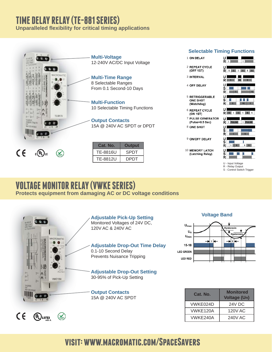## **TIME DELAY RELAY (TE-881 SERIES)**

**Unparalleled fl exibility for critical timing applications**



### **Selectable Timing Functions**

- 1 ON DELAY
- 2 REPEAT CYCLE (OFF 1ST)
- **3 INTERVAL**
- **4 OFF DELAY**
- **5 RETRIGGERABLE ONE SHOT** (Watchdog)
- **6 REPEAT CYCLE** (ON 1ST)
- **7 PULSE GENERATOR** (Pulse=0.5 Sec)
- 8 ONE SHOT

9 ON/OFF DELAY

**10 MEMORY LATCH** (Latching Relay)



- U Input Voltage
- R Relay Output
- S Control Switch Trigger

### **VOLTAGE MONITOR RELAY (VWKE SERIES) Protects equipment from damaging AC or DC voltage conditions**



UL LISTED

# **Hysteresis**

**Voltage Band**



| Cat. No. | <b>Monitored</b><br><b>Voltage (Un)</b> |
|----------|-----------------------------------------|
| VWKE024D | <b>24V DC</b>                           |
| VWKE120A | <b>120V AC</b>                          |
| VWKE240A | <b>240V AC</b>                          |

## **visit: www.macromatic.com/SpaceSavers**